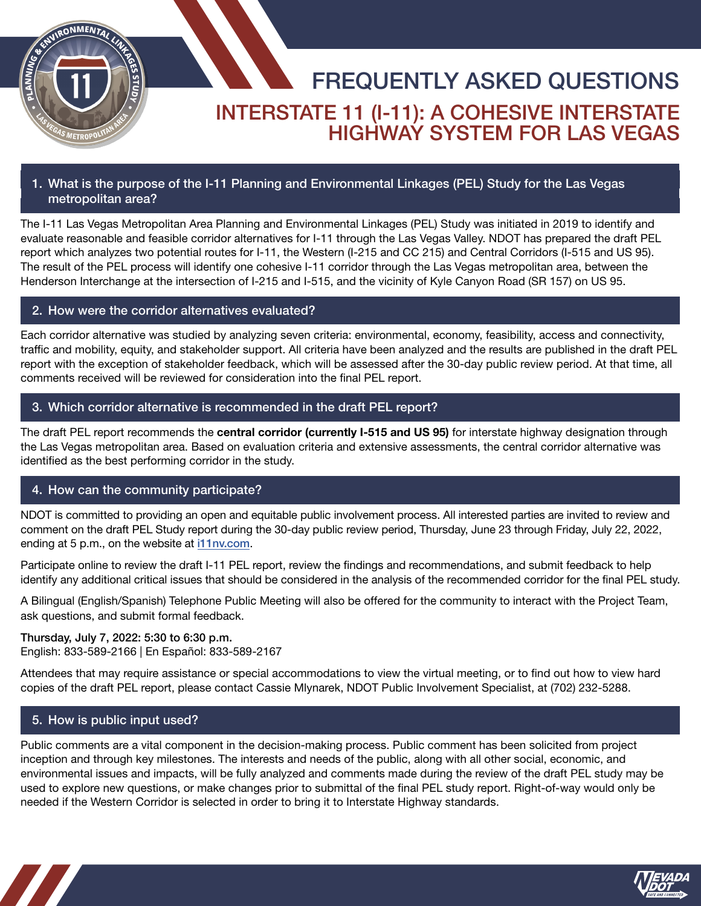

# FREQUENTLY ASKED QUESTIONS INTERSTATE 11 (I-11): A COHESIVE INTERSTATE HIGHWAY SYSTEM FOR LAS VEGAS

## 1. What is the purpose of the I-11 Planning and Environmental Linkages (PEL) Study for the Las Vegas metropolitan area?

The I-11 Las Vegas Metropolitan Area Planning and Environmental Linkages (PEL) Study was initiated in 2019 to identify and evaluate reasonable and feasible corridor alternatives for I-11 through the Las Vegas Valley. NDOT has prepared the draft PEL report which analyzes two potential routes for I-11, the Western (I-215 and CC 215) and Central Corridors (I-515 and US 95). The result of the PEL process will identify one cohesive I-11 corridor through the Las Vegas metropolitan area, between the Henderson Interchange at the intersection of I-215 and I-515, and the vicinity of Kyle Canyon Road (SR 157) on US 95.

## 2. How were the corridor alternatives evaluated?

Each corridor alternative was studied by analyzing seven criteria: environmental, economy, feasibility, access and connectivity, traffic and mobility, equity, and stakeholder support. All criteria have been analyzed and the results are published in the draft PEL report with the exception of stakeholder feedback, which will be assessed after the 30-day public review period. At that time, all comments received will be reviewed for consideration into the final PEL report.

### 3. Which corridor alternative is recommended in the draft PEL report?

The draft PEL report recommends the central corridor (currently I-515 and US 95) for interstate highway designation through the Las Vegas metropolitan area. Based on evaluation criteria and extensive assessments, the central corridor alternative was identified as the best performing corridor in the study.

### 4. How can the community participate?

NDOT is committed to providing an open and equitable public involvement process. All interested parties are invited to review and comment on the draft PEL Study report during the 30-day public review period, Thursday, June 23 through Friday, July 22, 2022, ending at 5 p.m., on the website at [i11nv.com](https://i11nv.com/).

Participate online to review the draft I-11 PEL report, review the findings and recommendations, and submit feedback to help identify any additional critical issues that should be considered in the analysis of the recommended corridor for the final PEL study.

A Bilingual (English/Spanish) Telephone Public Meeting will also be offered for the community to interact with the Project Team, ask questions, and submit formal feedback.

Thursday, July 7, 2022: 5:30 to 6:30 p.m. English: 833-589-2166 | En Español: 833-589-2167

Attendees that may require assistance or special accommodations to view the virtual meeting, or to find out how to view hard copies of the draft PEL report, please contact Cassie Mlynarek, NDOT Public Involvement Specialist, at (702) 232-5288.

## 5. How is public input used?

Public comments are a vital component in the decision-making process. Public comment has been solicited from project inception and through key milestones. The interests and needs of the public, along with all other social, economic, and environmental issues and impacts, will be fully analyzed and comments made during the review of the draft PEL study may be used to explore new questions, or make changes prior to submittal of the final PEL study report. Right-of-way would only be needed if the Western Corridor is selected in order to bring it to Interstate Highway standards.